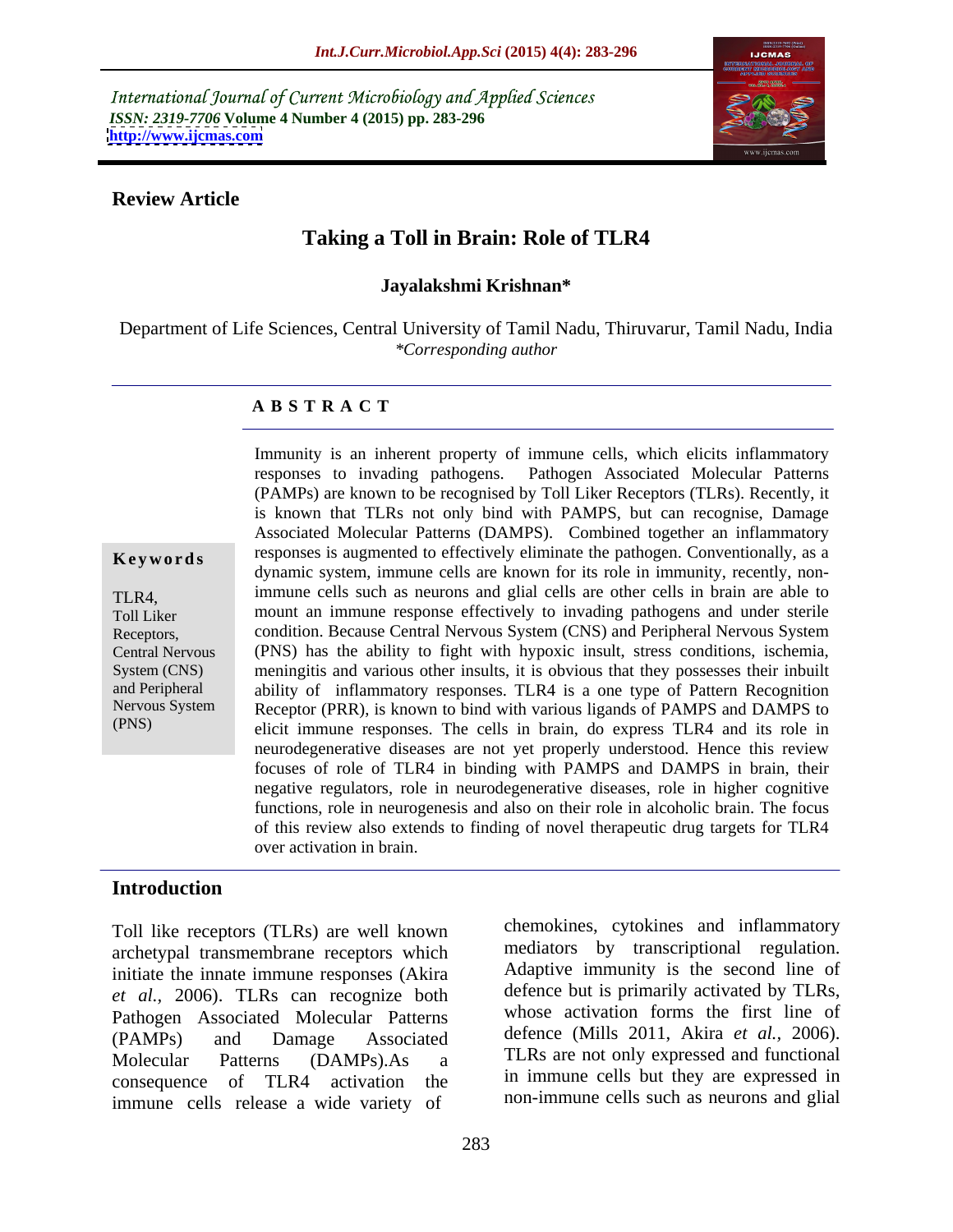International Journal of Current Microbiology and Applied Sciences *ISSN: 2319-7706* **Volume 4 Number 4 (2015) pp. 283-296 <http://www.ijcmas.com>**



### **Review Article**

# **Taking a Toll in Brain: Role of TLR4**

### **Jayalakshmi Krishnan\***

Department of Life Sciences, Central University of Tamil Nadu, Thiruvarur, Tamil Nadu, India *\*Corresponding author*

### **A B S T R A C T**

(PNS)

Immunity is an inherent property of immune cells, which elicits inflammatory responses to invading pathogens. Pathogen Associated Molecular Patterns (PAMPs) are known to be recognised by Toll Liker Receptors (TLRs). Recently, it is known that TLRs not only bind with PAMPS, but can recognise, Damage Associated Molecular Patterns (DAMPS). Combined together an inflammatory **Keywords** responses is augmented to effectively eliminate the pathogen. Conventionally, as a dynamic system, immune cells are known for its role in immunity, recently, nonimmune cells such as neurons and glial cells are other cells in brain are able to TLR4, Toll Liker mount an immune response effectively to invading pathogens and under sterile condition. Because Central Nervous System (CNS) and Peripheral Nervous System Receptors, Central Nervous (PNS) has the ability to fight with hypoxic insult, stress conditions, ischemia, System (CNS) meningitis and various other insults, it is obvious that they possesses their inbuilt and Peripheral ability of inflammatory responses. TLR4 is a one type of Pattern Recognition Nervous System Receptor (PRR), is known to bind with various ligands of PAMPS and DAMPS to elicit immune responses. The cells in brain, do express TLR4 and its role in neurodegenerative diseases are not yet properly understood. Hence this review focuses of role of TLR4 in binding with PAMPS and DAMPS in brain, their negative regulators, role in neurodegenerative diseases, role in higher cognitive functions, role in neurogenesis and also on their role in alcoholic brain. The focus of this review also extends to finding of novel therapeutic drug targets for TLR4 over activation in brain.

### **Introduction**

Toll like receptors (TLRs) are well known archetypal transmembrane receptors which initiate the innate immune responses (Akira *et al.,* 2006). TLRs can recognize both Pathogen Associated Molecular Patterns (PAMPs) and Damage Associated defence (Mills 2011, Akira *et al.,* 2006). Molecular Patterns (DAMPs).As a TLRs are not only expressed and functional consequence of TLR4 activation the immune cells release a wide variety of

chemokines, cytokines and inflammatory mediators by transcriptional regulation. Adaptive immunity is the second line of defence but is primarily activated by TLRs, whose activation forms the first line of in immune cells but they are expressed in non-immune cells such as neurons and glial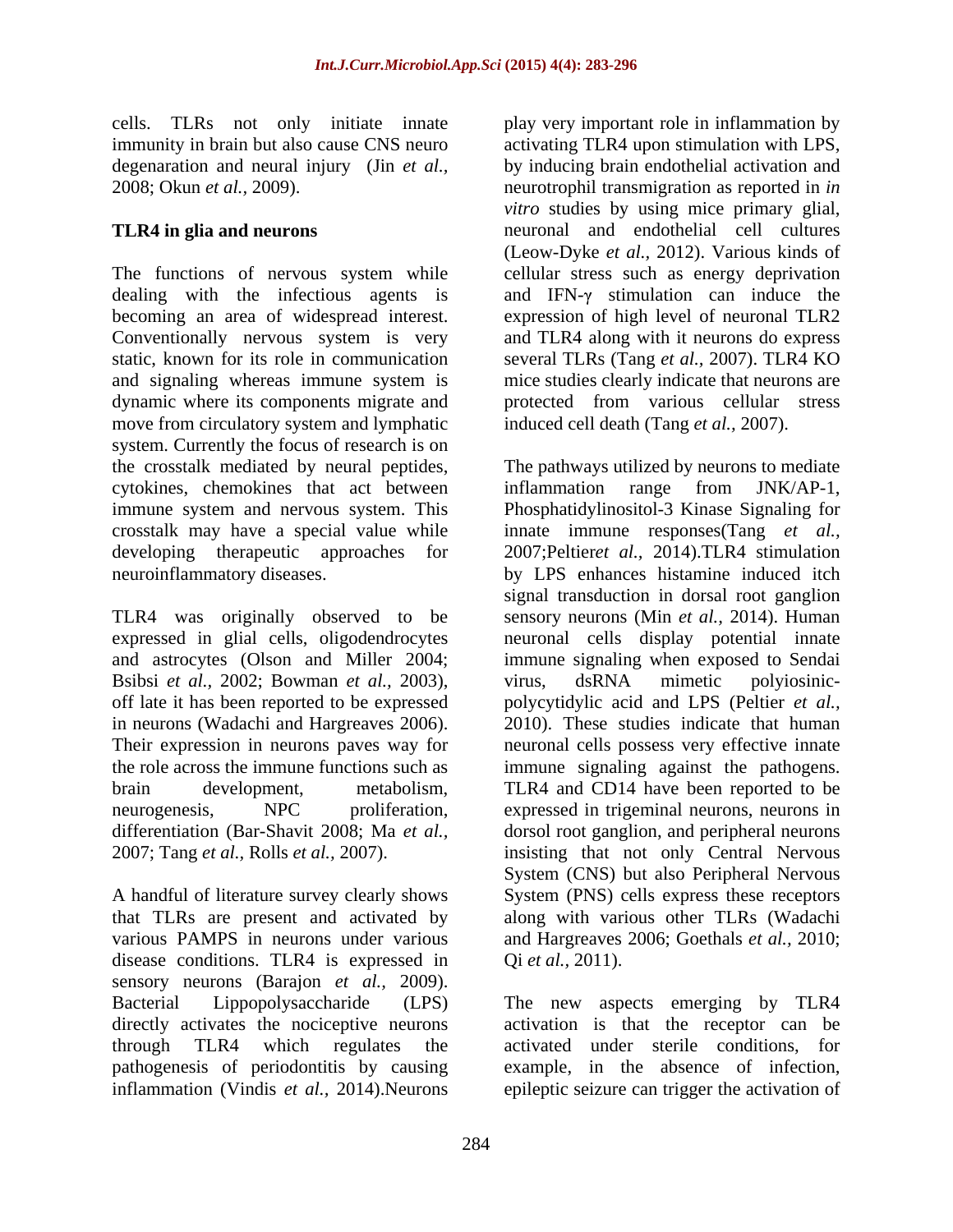immunity in brain but also cause CNS neuro

The functions of nervous system while cellular stress such as energy deprivation dealing with the infectious agents is and IFN- $\gamma$  stimulation can induce the becoming an area of widespread interest. expression of high level of neuronal TLR2 Conventionally nervous system is very static, known for its role in communication several TLRs (Tang *et al.,* 2007). TLR4 KO and signaling whereas immune system is dynamic where its components migrate and move from circulatory system and lymphatic system. Currently the focus of research is on cytokines, chemokines that act between inflammation range from JNK/AP-1, immune system and nervous system. This

A handful of literature survey clearly shows various PAMPS in neurons under various disease conditions. TLR4 is expressed in sensory neurons (Barajon *et al.*, 2009).<br>Bacterial Lippopolysaccharide (LPS) Bacterial Lippopolysaccharide (LPS) The new aspects emerging by TLR4 directly activates the nociceptive neurons activation is that the receptor can be through TLR4 which regulates the activated under sterile conditions, for pathogenesis of periodontitis by causing inflammation (Vindis *et al.,* 2014).Neurons epileptic seizure can trigger the activation of

cells. TLRs not only initiate innate play very important role in inflammation by degenaration and neural injury (Jin *et al.,* by inducing brain endothelial activation and 2008; Okun *et al.,* 2009). neurotrophil transmigration as reported in *in*  **TLR4 in glia and neurons** neuronal and endothelial cell cultures activating TLR4 upon stimulation with LPS, *vitro* studies by using mice primary glial, (Leow-Dyke *et al.,* 2012). Various kinds of and TLR4 along with it neurons do express mice studies clearly indicate that neurons are protected from various cellular stress induced cell death (Tang *et al.,* 2007).

the crosstalk mediated by neural peptides, The pathways utilized by neurons to mediate crosstalk may have a special value while innate immune responses(Tang *et al.,* developing therapeutic approaches for 2007;Peltier*et al.,* 2014).TLR4 stimulation neuroinflammatory diseases. by LPS enhances histamine induced itch TLR4 was originally observed to be sensory neurons (Min *et al.,* 2014). Human expressed in glial cells, oligodendrocytes neuronal cells display potential innate and astrocytes (Olson and Miller 2004; immune signaling when exposed to Sendai Bsibsi *et al.*, 2002; Bowman *et al.*, 2003), virus, dsRNA mimetic polyiosinic-<br>off late it has been reported to be expressed polycytidylic acid and LPS (Peltier *et al.*, in neurons (Wadachi and Hargreaves 2006). 2010). These studies indicate that human<br>Their expression in neurons paves way for a neuronal cells possess very effective innate the role across the immune functions such as immune signaling against the pathogens. brain development, metabolism, TLR4 and CD14 have been reported to be neurogenesis, NPC proliferation, expressed in trigeminal neurons, neurons in differentiation (Bar-Shavit 2008; Ma *et al.,* dorsol root ganglion, and peripheral neurons 2007; Tang *et al.,* Rolls *et al.,* 2007). insisting that not only Central Nervous that TLRs are present and activated by along with various other TLRs (Wadachi inflammation range from JNK/AP-1, Phosphatidylinositol-3 Kinase Signaling for signal transduction in dorsal root ganglion virus, dsRNA mimetic polyiosinic polycytidylic acid and LPS (Peltier*et al.,* 2010). These studies indicate that human neuronal cells possess very effective innate System (CNS) but also Peripheral Nervous System (PNS) cells express these receptors and Hargreaves 2006; Goethals *et al.,* 2010; Qi *et al.,* 2011).

example, in the absence of infection,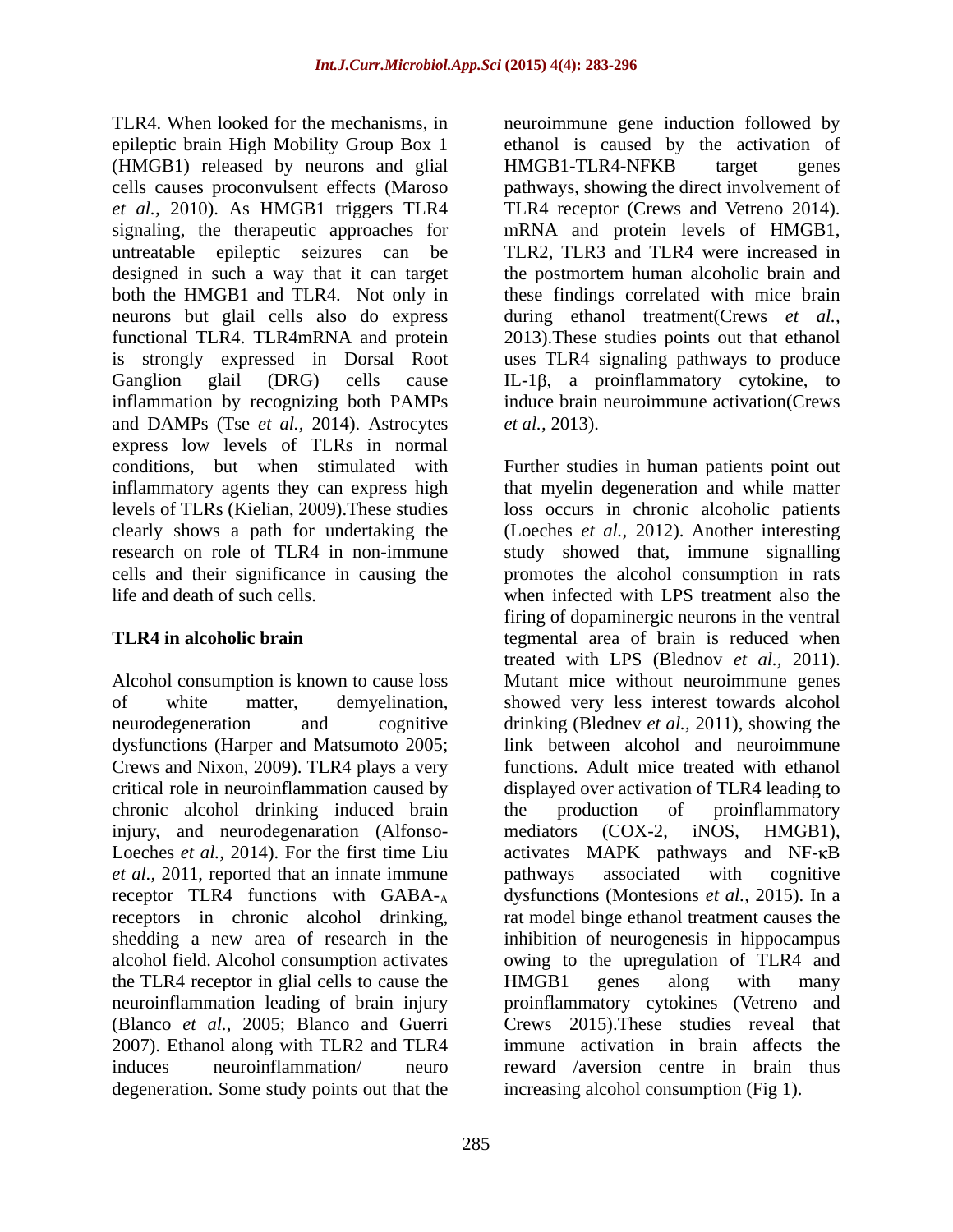TLR4. When looked for the mechanisms, in neuroimmune gene induction followed by epileptic brain High Mobility Group Box 1 a ethanol is caused by the activation of (HMGB1) released by neurons and glial cells causes proconvulsent effects (Maroso pathways, showing the direct involvement of *et al.,* 2010). As HMGB1 triggers TLR4 TLR4 receptor (Crews and Vetreno 2014). signaling, the therapeutic approaches for mRNA and protein levels of HMGB1, untreatable epileptic seizures can be TLR2, TLR3 and TLR4 were increased in designed in such a way that it can target both the HMGB1 and TLR4. Not only in these findings correlated with mice brain neurons but glail cells also do express during ethanol treatment(Crews *et al.,* functional TLR4. TLR4mRNA and protein 2013).These studies points out that ethanol is strongly expressed in Dorsal Root uses TLR4 signaling pathways to produce Ganglion glail  $(DRG)$  cells cause IL-1 $\beta$ , a proinflammatory cytokine, to inflammation by recognizing both PAMPs and DAMPs (Tse *et al.,* 2014). Astrocytes express low levels of TLRs in normal

dysfunctions (Harper and Matsumoto 2005; Crews and Nixon, 2009). TLR4 plays a very chronic alcohol drinking induced brain the production of proinflammatory injury, and neurodegenaration (Alfonso- mediators (COX-2, iNOS, HMGB1), *et al.*, 2011, reported that an innate immune bathways associated with cognitive shedding a new area of research in the the TLR4 receptor in glial cells to cause the HMGB1 genes along with many degeneration. Some study points out that the

HMGB1-TLR4-NFKB target genes the postmortem human alcoholic brain and induce brain neuroimmune activation(Crews *et al.,* 2013).

conditions, but when stimulated with Further studies in human patients point out inflammatory agents they can express high that myelin degeneration and while matter levels of TLRs (Kielian, 2009).These studies loss occurs in chronic alcoholic patients clearly shows a path for undertaking the (Loeches *et al.,* 2012). Another interesting research on role of TLR4 in non-immune study showed that, immune signalling cells and their significance in causing the promotes the alcohol consumption in rats life and death of such cells. when infected with LPS treatment also the **TLR4 in alcoholic brain tegmental** area of brain is reduced when Alcohol consumption is known to cause loss Mutant mice without neuroimmune genes of white matter, demyelination, showed very less interest towards alcohol neurodegeneration and cognitive drinking (Blednev *et al.,* 2011), showing the critical role in neuroinflammation caused by displayed over activation of TLR4 leading to Loeches *et al.*, 2014). For the first time Liu activates MAPK pathways and NF- $\kappa$ B receptor TLR4 functions with GABA-<sub>A</sub> dysfunctions (Montesions *et al.*, 2015). In a receptors in chronic alcohol drinking, rat model binge ethanol treatment causes the alcohol field. Alcohol consumption activates owing to the upregulation of TLR4 and neuroinflammation leading of brain injury proinflammatory cytokines (Vetreno and (Blanco *et al.,* 2005; Blanco and Guerri Crews 2015).These studies reveal that 2007). Ethanol along with TLR2 and TLR4 immune activation in brain affects the induces neuroinflammation/ neuro reward /aversion centre in brain thus firing of dopaminergic neurons in the ventral treated with LPS (Blednov *et al.,* 2011). link between alcohol and neuroimmune functions. Adult mice treated with ethanol the production of proinflammatory mediators (COX-2, iNOS, HMGB1), pathways associated with cognitive inhibition of neurogenesis in hippocampus HMGB1 genes along with many increasing alcohol consumption (Fig 1).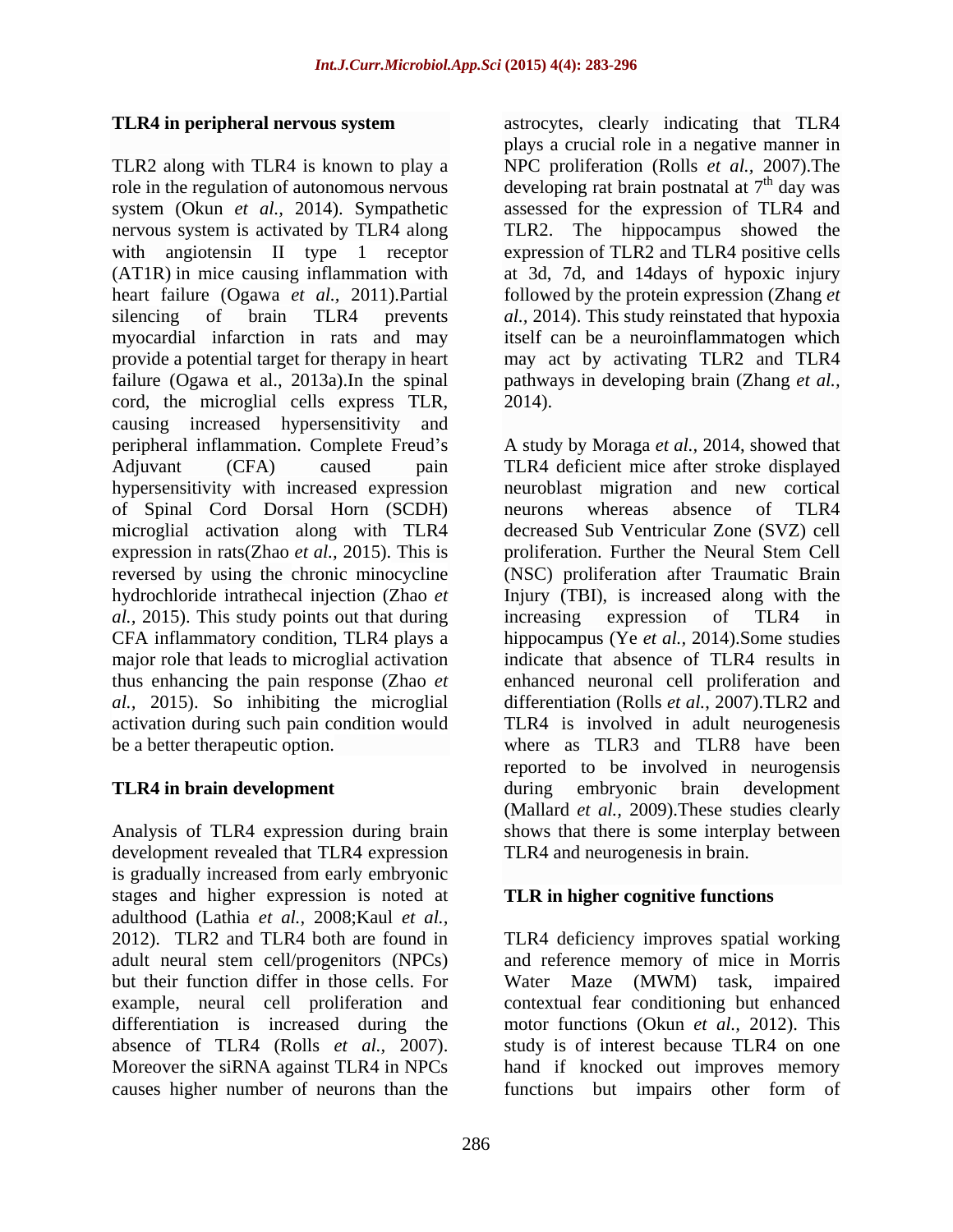TLR2 along with TLR4 is known to play a NPC proliferation (Rolls *et al.,* 2007).The role in the regulation of autonomous nervous developing rat brain postnatal at  $7<sup>th</sup>$  day was system (Okun *et al.,* 2014). Sympathetic assessed for the expression of TLR4 and nervous system is activated by TLR4 along TLR2. The hippocampus showed the with angiotensin II type 1 receptor expression of TLR2 and TLR4 positive cells (AT1R) in mice causing inflammation with at 3d, 7d, and 14days of hypoxic injury heart failure (Ogawa *et al.,* 2011).Partial silencing of brain TLR4 prevents *al.,* 2014). This study reinstated that hypoxia myocardial infarction in rats and may provide a potential target for therapy in heart failure (Ogawa et al., 2013a).In the spinal pathways in developing brain (Zhang *et al.,* cord, the microglial cells express TLR, causing increased hypersensitivity and peripheral inflammation. Complete Freud's A study by Moraga *et al.*, 2014, showed that Adjuvant (CFA) caused pain TLR4 deficient mice after stroke displayed hypersensitivity with increased expression neuroblast migration and new cortical of Spinal Cord Dorsal Horn (SCDH) microglial activation along with TLR4 expression in rats(Zhao *et al.,* 2015). This is reversed by using the chronic minocycline (NSC) proliferation after Traumatic Brain hydrochloride intrathecal injection (Zhao *et*  Injury (TBI), is increased along with the *al.,* 2015). This study points out that during increasing expression of TLR4 in CFA inflammatory condition, TLR4 plays a major role that leads to microglial activation indicate that absence of TLR4 results in thus enhancing the pain response (Zhao *et*  enhanced neuronal cell proliferation and *al.,* 2015). So inhibiting the microglial differentiation (Rolls *et al.*, 2007).TLR2 and activation during such pain condition would TLR4 is involved in adult neurogenesis

development revealed that TLR4 expression is gradually increased from early embryonic stages and higher expression is noted at adulthood (Lathia *et al.,* 2008;Kaul *et al.,* example, neural cell proliferation and differentiation is increased during the causes higher number of neurons than the functions but impairs other form of

**TLR4 in peripheral nervous system** astrocytes, clearly indicating that TLR4 astrocytes, clearly indicating that TLR4 plays a crucial role in a negative manner in <sup>th</sup> day was followed by the protein expression (Zhang *et*  itself can be a neuroinflammatogen which may act by activating TLR2 and TLR4 2014).

be a better therapeutic option. where as TLR3 and TLR8 have been **TLR4 in brain development** during embryonic brain development Analysis of TLR4 expression during brain shows that there is some interplay between neurons whereas absence of TLR4 decreased Sub Ventricular Zone (SVZ) cell proliferation. Further the Neural Stem Cell increasing expression of TLR4 in hippocampus (Ye *et al.,* 2014).Some studies reported to be involved in neurogensis (Mallard *et al.,* 2009).These studies clearly TLR4 and neurogenesis in brain.

## **TLR in higher cognitive functions**

2012). TLR2 and TLR4 both are found in TLR4 deficiency improves spatial working adult neural stem cell/progenitors (NPCs) and reference memory of mice in Morris but their function differ in those cells. For Water Maze (MWM) task, impaired absence of TLR4 (Rolls *et al.,* 2007). study is of interest because TLR4 on one Moreover the siRNA against TLR4 in NPCs hand if knocked out improves memory contextual fear conditioning but enhanced motor functions (Okun *et al.,* 2012). This functions but impairs other form of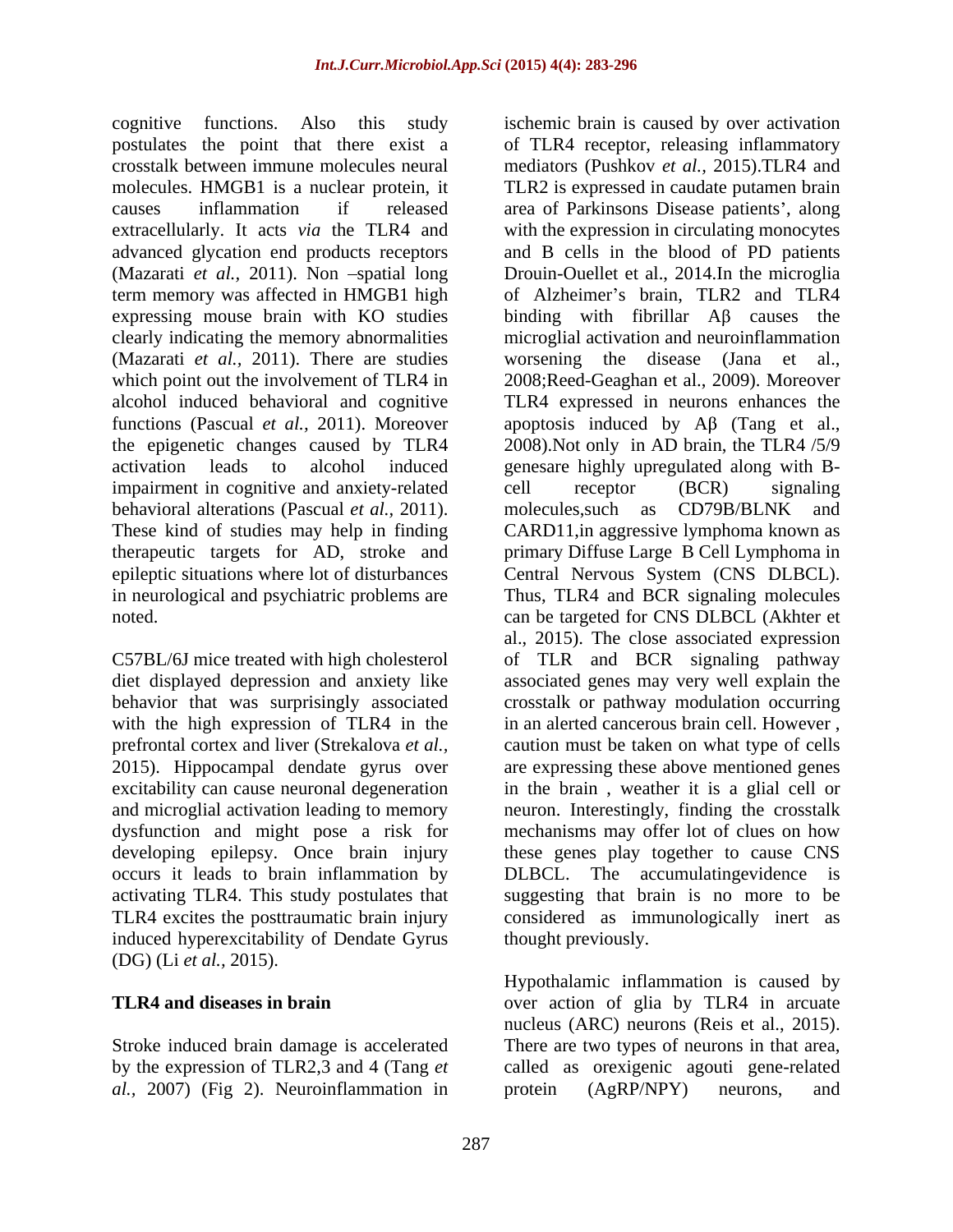cognitive functions. Also this study ischemic brain is caused by over activation expressing mouse brain with KO studies (Mazarati *et al.,* 2011). There are studies impairment in cognitive and anxiety-related cell receptor (BCR) signaling behavioral alterations (Pascual *et al.,* 2011). These kind of studies may help in finding CARD11, in aggressive lymphoma known as therapeutic targets for AD, stroke and primary Diffuse Large B Cell Lymphoma in

2015). Hippocampal dendate gyrus over induced hyperexcitability of Dendate Gyrus (DG) (Li *et al.,* 2015).

*al.,* 2007) (Fig 2). Neuroinflammation in

postulates the point that there exist a of TLR4 receptor, releasing inflammatory crosstalk between immune molecules neural mediators (Pushkov *et al.,* 2015).TLR4 and molecules. HMGB1 is a nuclear protein, it TLR2 is expressed in caudate putamen brain causes inflammation if released area of Parkinsons Disease patients', along extracellularly. It acts *via* the TLR4 and with the expression in circulating monocytes advanced glycation end products receptors and B cells in the blood of PD patients (Mazarati *et al.*, 2011). Non -spatial long Drouin-Ouellet et al., 2014.In the microglia term memory was affected in HMGB1 high of Alzheimer's brain, TLR2 and TLR4 clearly indicating the memory abnormalities microglial activation and neuroinflammation which point out the involvement of TLR4 in 2008;Reed-Geaghan et al., 2009). Moreover alcohol induced behavioral and cognitive TLR4 expressed in neurons enhances the functions (Pascual *et al.*, 2011). Moreover apoptosis induced by  $\mathbf{A}\beta$  (Tang et al., the epigenetic changes caused by TLR4 2008).Not only in AD brain, the TLR4 /5/9 activation leads to alcohol induced genesare highly upregulated along with B epileptic situations where lot of disturbances Central Nervous System (CNS DLBCL). in neurological and psychiatric problems are Thus, TLR4 and BCR signaling molecules noted. can be targeted for CNS DLBCL (Akhter et C57BL/6J mice treated with high cholesterol of TLR and BCR signaling pathway diet displayed depression and anxiety like associated genes may very well explain the behavior that was surprisingly associated crosstalk or pathway modulation occurring with the high expression of TLR4 in the in an alerted cancerous brain cell. However, prefrontal cortex and liver (Strekalova *et al.,* caution must be taken on what type of cells excitability can cause neuronal degeneration in the brain , weather it is a glial cell or and microglial activation leading to memory neuron. Interestingly, finding the crosstalk dysfunction and might pose a risk for mechanisms may offer lot of clues on how developing epilepsy. Once brain injury these genes play together to cause CNS occurs it leads to brain inflammation by DLBCL. The accumulatingevidence is activating TLR4. This study postulates that suggesting that brain is no more to be TLR4 excites the posttraumatic brain injury considered as immunologically inert as binding with fibrillar  $\overrightarrow{AB}$  causes the worsening the disease (Jana et al., cell receptor (BCR) signaling molecules,such as CD79B/BLNK and CARD11,in aggressive lymphoma known as primary Diffuse Large B Cell Lymphoma in al., 2015). The close associated expression are expressing these above mentioned genes thought previously.

**TLR4 and diseases in brain** over action of glia by TLR4 in arcuate Stroke induced brain damage is accelerated There are two types of neurons in that area, by the expression of TLR2,3 and 4 (Tang *et* called as orexigenic agouti gene-related Hypothalamic inflammation is caused by nucleus (ARC) neurons (Reis et al., 2015). protein (AgRP/NPY) neurons, and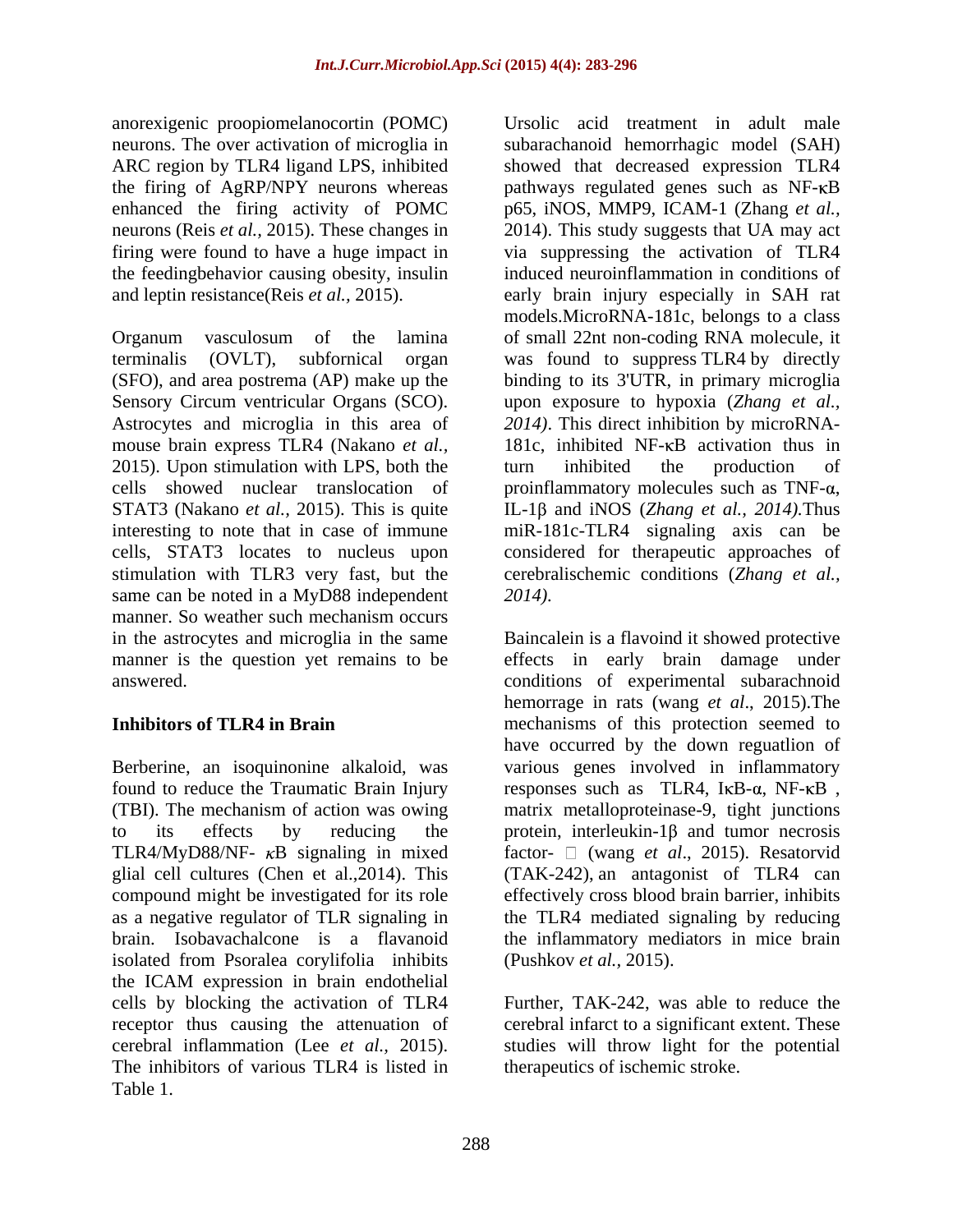anorexigenic proopiomelanocortin (POMC) the feedingbehavior causing obesity, insulin

Astrocytes and microglia in this area of 2015). Upon stimulation with LPS, both the turn inhibited the production of cells showed nuclear translocation of proinflammatory molecules such as  $TNF-\alpha$ , STAT3 (Nakano *et al.,* 2015). This is quite IL-1 $\beta$  and iNOS (*Zhang et al., 2014*). Thus same can be noted in a MyD88 independent 2014). manner. So weather such mechanism occurs

brain. Isobavachalcone is a flavanoid isolated from Psoralea corylifolia inhibits the ICAM expression in brain endothelial cells by blocking the activation of TLR4 receptor thus causing the attenuation of cerebral infarct to a significant extent. These cerebral inflammation (Lee *et al.,* 2015). studies will throw light for the potential The inhibitors of various TLR4 is listed in Table 1.

neurons. The over activation of microglia in subarachanoid hemorrhagic model (SAH) ARC region by TLR4 ligand LPS, inhibited showed that decreased expression TLR4 the firing of AgRP/NPY neurons whereas pathways regulated genes such as NF-KB enhanced the firing activity of POMC p65, iNOS, MMP9, ICAM-1 (Zhang *et al.*, neurons (Reis *et al.,* 2015). These changes in 2014). This study suggests that UA may act firing were found to have a huge impact in via suppressing the activation of TLR4 and leptin resistance(Reis *et al.,* 2015). early brain injury especially in SAH rat Organum vasculosum of the lamina of small 22nt non-coding RNA molecule, it terminalis (OVLT), subfornical organ was found to suppress TLR4 by directly (SFO), and area postrema (AP) make up the binding to its 3'UTR, in primary microglia Sensory Circum ventricular Organs (SCO). upon exposure to hypoxia (*Zhang et al.,* mouse brain express TLR4 (Nakano *et al.*, 181c, inhibited NF- $\kappa$ B activation thus in interesting to note that in case of immune miR-181c-TLR4 signaling axis can be cells, STAT3 locates to nucleus upon considered for therapeutic approaches of stimulation with TLR3 very fast, but the cerebralischemic conditions (*Zhang et al.,* Ursolic acid treatment in adult male induced neuroinflammation in conditions of models.MicroRNA-181c, belongs to a class *2014)*. This direct inhibition by microRNA turn inhibited the production of proinflammatory molecules such as TNF-α,<br>IL-1β and iNOS (*Zhang et al., 2014)*.Thus *2014).*

in the astrocytes and microglia in the same Baincalein is a flavoind it showed protective manner is the question yet remains to be effects in early brain damage under answered. conditions of experimental subarachnoid **Inhibitors of TLR4 in Brain** mechanisms of this protection seemed to Berberine, an isoquinonine alkaloid, was various genes involved in inflammatory found to reduce the Traumatic Brain Injury eresponses such as  $TLR4$ , I $\kappa$ B- $\alpha$ , NF- $\kappa$ B, (TBI). The mechanism of action was owing matrix metalloproteinase-9, tight junctions to its effects by reducing the protein, interleukin- $1\beta$  and tumor necrosis TLR4/MyD88/NF- *κ*B signaling in mixed factor- □ (wang *et al.*, 2015). Resatorvid glial cell cultures (Chen et al.,2014). This (TAK-242), an antagonist of TLR4 can compound might be investigated for its role effectively cross blood brain barrier, inhibits as a negative regulator of TLR signaling in the TLR4 mediated signaling by reducing hemorrage in rats (wang *et al*., 2015).The have occurred by the down reguatlion of the inflammatory mediators in mice brain (Pushkov *et al.,* 2015).

> Further, TAK-242, was able to reduce the therapeutics of ischemic stroke.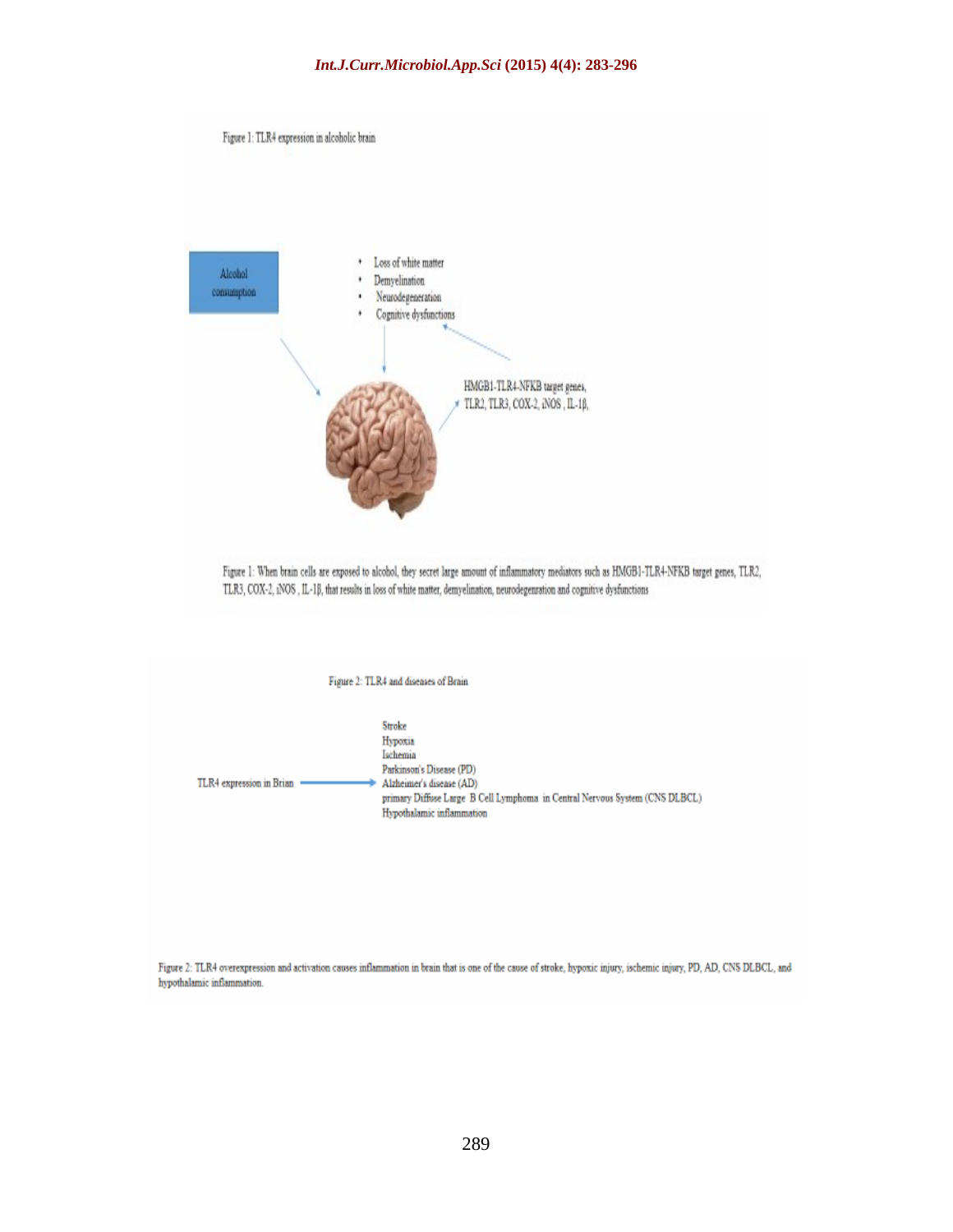

Figure 2: TLR4 overexpression and activation causes inflammation in brain that is one of the cause of stroke, hypoxic injury, ischemic injury, PD, AD, CNS DLBCL, and hypothalamic inflammation.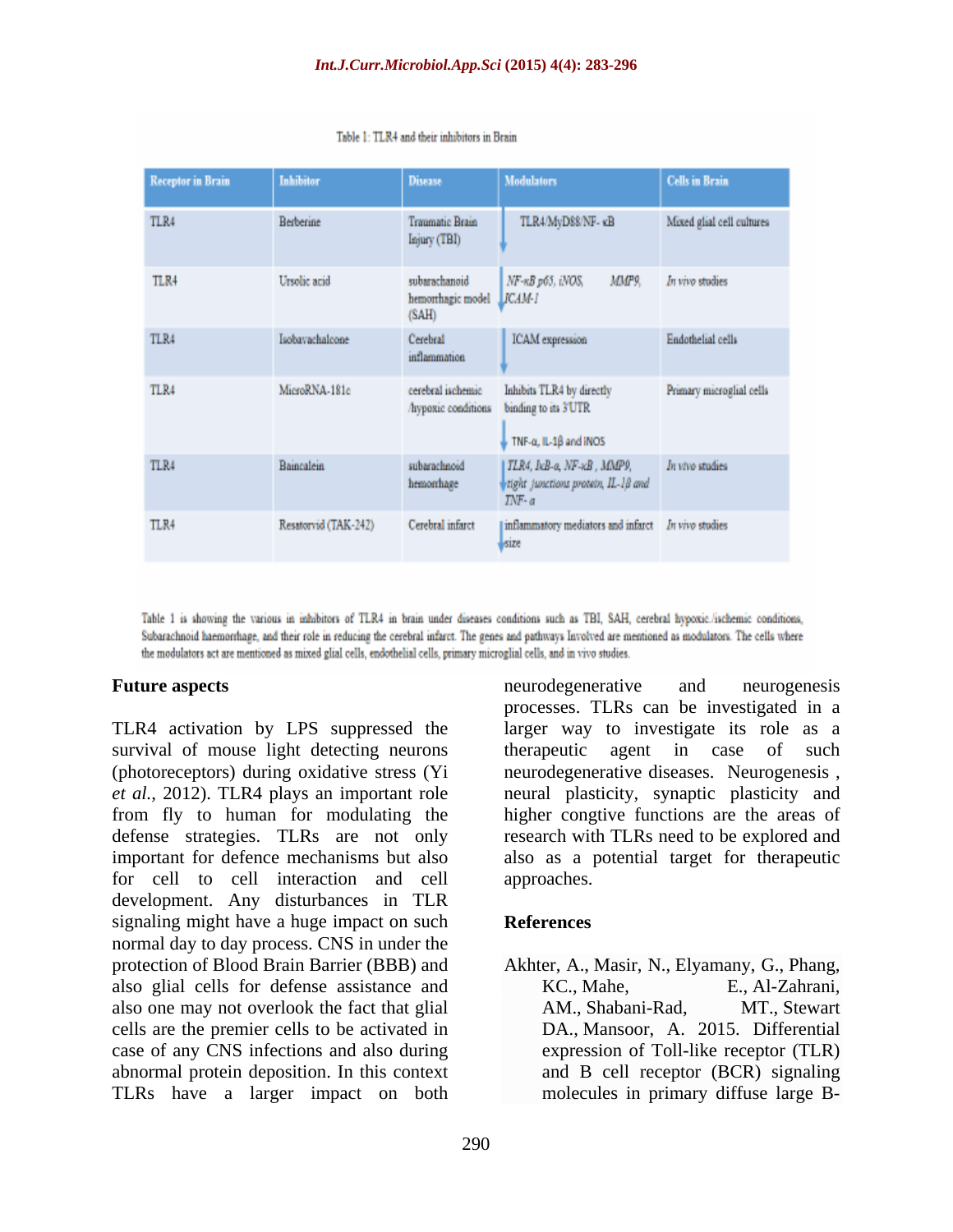| <b>Receptor in Brain</b> | Inhibitor            | <b>Disease</b>                              | <b>Modulators</b>                                                                       | <b>Cells in Brain</b>     |
|--------------------------|----------------------|---------------------------------------------|-----------------------------------------------------------------------------------------|---------------------------|
| TLR4                     | <b>Berberine</b>     | <b>Traumatic Brain</b><br>Injury (TBI)      | TLR4/MyD88/NF- KB                                                                       | Mixed glial cell cultures |
| TLR4                     | Ursolic acid         | subarachanoid<br>hemorrhagic model<br>(SAH) | MMP9.<br>NF-KB p65, iNOS,<br>LICAM-I                                                    | In vivo studies           |
| TLR4                     | Isobavachalcone      | Cerebral<br>inflammation                    | <b>ICAM</b> expression                                                                  | <b>Endothelial</b> cells  |
| TLR4                     | MicroRNA-181c        | cerebral ischemic<br>hypoxic conditions     | Inhibits TLR4 by directly<br>binding to its 3 UTR<br>TNF-a, IL-18 and INOS              | Primary microglial cells  |
| TLR4                     | Baincalein           | subarachnoid<br>hemorrhage                  | TLR4, IxB-a, NF-xB, MMP9,<br>tight junctions protein, IL-1ß and<br>$\overline{INF}$ - a | In vivo studies           |
| TLR4                     | Resatorvid (TAK-242) | Cerebral infarct                            | inflammatory mediators and infarct<br>size                                              | In vivo studies           |

Table 1: TLR4 and their inhibitors in Brain

Table 1 is showing the various in inhibitors of TLR4 in brain under diseases conditions such as TBI, SAH, cerebral hypoxic./ischemic conditions, Subarachnoid haemorrhage, and their role in reducing the cerebral infarct. The genes and pathways Involved are mentioned as modulators. The cells where the modulators act are mentioned as mixed glial cells, endothelial cells, primary microglial cells, and in vivo studies.

TLR4 activation by LPS suppressed the larger way to investigate its role as a survival of mouse light detecting neurons therapeutic agent in case of such (photoreceptors) during oxidative stress (Yi *et al.,* 2012). TLR4 plays an important role neural plasticity, synaptic plasticity and from fly to human for modulating the higher congtive functions are the areas of defense strategies. TLRs are not only important for defence mechanisms but also also as a potential target for therapeutic for cell to cell interaction and cell development. Any disturbances in TLR signaling might have a huge impact on such **References** normal day to day process. CNS in under the protection of Blood Brain Barrier (BBB) and also glial cells for defense assistance and KC., Mahe, E., Al-Zahrani, also one may not overlook the fact that glial AM., Shabani-Rad, MT., Stewart cells are the premier cells to be activated in case of any CNS infections and also during abnormal protein deposition. In this context TLRs have a larger impact on both

**Future aspects Future aspects Future aspects Future aspects Future aspects Future aspects Future aspects Future 3** neurodegenerative and neurogenesis processes. TLRs can be investigated in a therapeutic agent in case of such neurodegenerative diseases. Neurogenesis , research with TLRs need to be explored and approaches.

### **References**

Akhter, A., Masir, N., Elyamany, G., Phang, KC., Mahe, E., Al-Zahrani, AM., Shabani-Rad, DA., Mansoor, A. 2015. Differential expression of Toll-like receptor (TLR) and B cell receptor (BCR) signaling molecules in primary diffuse large B-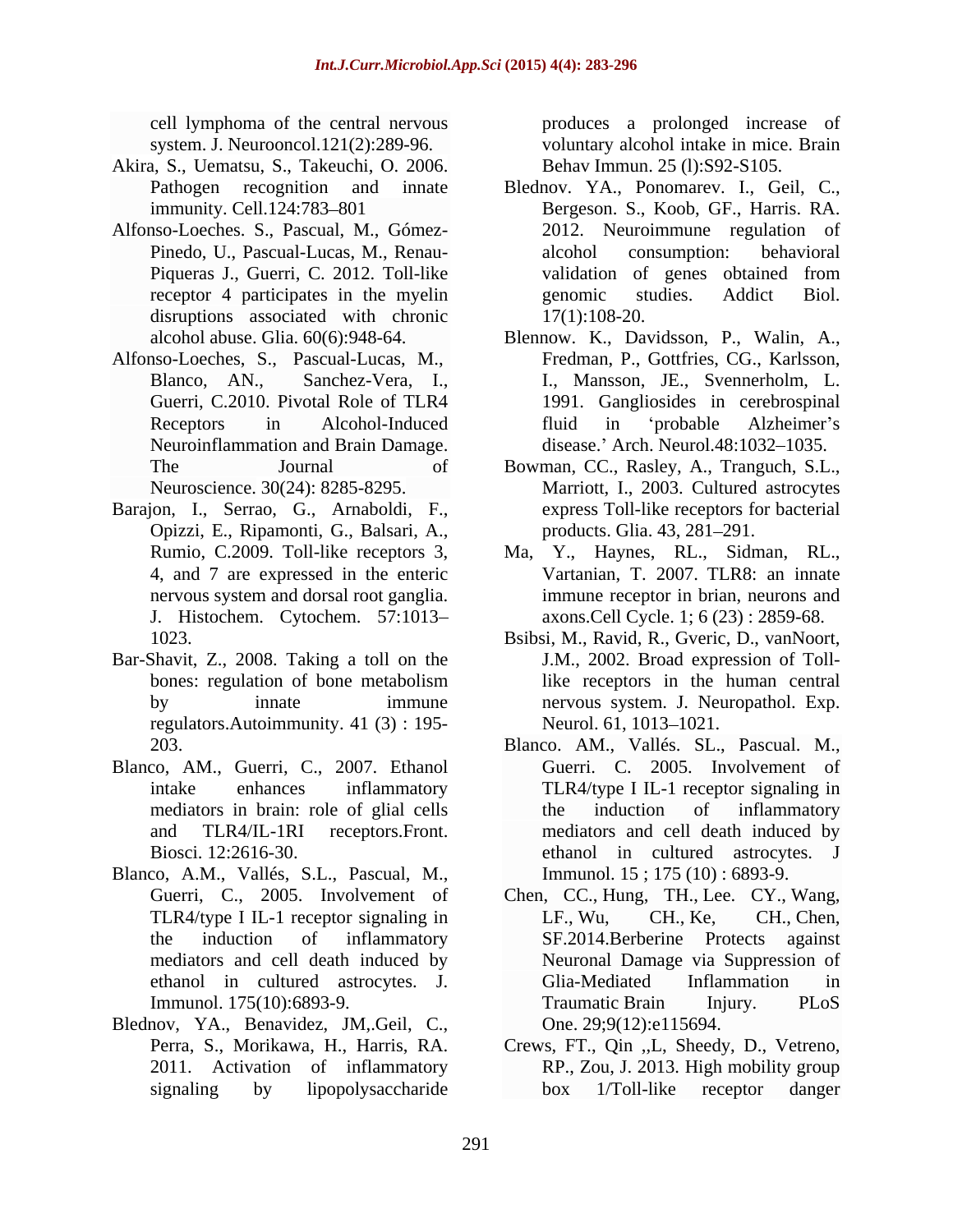- Akira, S., Uematsu, S., Takeuchi, O. 2006.
- Alfonso-Loeches. S., Pascual, M., Gómez disruptions associated with chronic
- Alfonso-Loeches, S., Pascual-Lucas, M., Neuroinflammation and Brain Damage.
- Barajon, I., Serrao, G., Arnaboldi, F., Opizzi, E., Ripamonti, G., Balsari, A., J. Histochem. Cytochem. 57:1013
- Bar-Shavit, Z., 2008. Taking a toll on the regulators.Autoimmunity. 41 (3) : 195-
- Blanco, AM., Guerri, C., 2007. Ethanol Guerri. C. 2005. Involvement of
- Blanco, A.M., Vallés, S.L., Pascual, M.,
- Blednov, YA., Benavidez, JM,.Geil, C., D. One. 29;9(12):e115694.<br>Perra, S., Morikawa, H., Harris, RA. Crews, FT., Qin ,,L, Sheedy, D., Vetreno, 2011. Activation of inflammatory RP., Zou, J. 2013. High mobility group

cell lymphoma of the central nervous produces a prolonged increase of system. J. Neurooncol.121(2):289-96. voluntary alcohol intake in mice. Brain Behav Immun. 25 (l):S92-S105.

- Pathogen recognition and innate Blednov. YA., Ponomarev. I., Geil, C., immunity. Cell.124:783–801 Bergeson. S., Koob, GF., Harris. RA. Pinedo, U., Pascual-Lucas, M., Renau- Piqueras J., Guerri, C. 2012. Toll-like validation of genes obtained from receptor 4 participates in the myelin genomic studies. Addict Biol. Blednov. YA., Ponomarev. I., Geil, C., Bergeson. S., Koob, GF., Harris. RA. 2012. Neuroimmune regulation of alcohol consumption: behavioral validation of genes obtained from genomic studies. Addict Biol. 17(1):108-20.
- alcohol abuse. Glia. 60(6):948-64. Blennow. K., Davidsson, P., Walin, A., Blanco, AN., Sanchez-Vera, I., I., Mansson, JE., Svennerholm, L.<br>Guerri, C.2010. Pivotal Role of TLR4 1991. Gangliosides in cerebrospinal Receptors in Alcohol-Induced fluid in 'probable Alzheimer's Fredman, P., Gottfries, CG., Karlsson, I., Mansson, JE., Svennerholm, L. 1991. Gangliosides in cerebrospinal fluid in 'probable Alzheimer's disease.' Arch. Neurol.48:1032-1035.
- The Journal of Bowman, CC., Rasley, A., Tranguch, S.L., Neuroscience. 30(24): 8285-8295. Marriott, I., 2003. Cultured astrocytes express Toll-like receptors for bacterial products. Glia. 43, 281-291.
- Rumio, C.2009. Toll-like receptors 3, Ma, Y., Haynes, RL., Sidman, RL., 4, and 7 are expressed in the enteric nervous system and dorsal root ganglia. immune receptor in brian, neurons and Ma, Y., Haynes, RL., Sidman, RL., Vartanian, T. 2007. TLR8: an innate axons.Cell Cycle. 1; 6 (23) : 2859-68.
- 1023. Bsibsi, M., Ravid, R., Gveric, D., vanNoort, bones: regulation of bone metabolism like receptors in the human central by innate immune nervous system. J. Neuropathol. Exp. J.M., 2002. Broad expression of Tolllike receptors in the human central Neurol. 61, 1013–1021.
- 203. Blanco. AM., Vallés. SL., Pascual. M., intake enhances inflammatory TLR4/type I IL-1 receptor signaling in mediators in brain: role of glial cells brain the induction of inflammatory and TLR4/IL-1RI receptors.Front. mediators and cell death induced by Biosci. 12:2616-30. ethanol in cultured astrocytes. J Blanco. AM., Vallés. SL., Pascual. M., Guerri. C. 2005. Involvement of the induction of inflammatory Immunol. 15 ; 175 (10) : 6893-9.
- Guerri, C., 2005. Involvement of Chen, CC., Hung, TH., Lee. CY., Wang, TLR4/type I IL-1 receptor signaling in LF., Wu, CH., Ke, CH., Chen, the induction of inflammatory SF.2014.Berberine Protects against mediators and cell death induced by Neuronal Damage via Suppression of ethanol in cultured astrocytes. J. Immunol. 175(10):6893-9. Traumatic Brain Injury. PLoS LF., Wu, CH., Ke, CH., Chen, Glia-Mediated Inflammation in Traumatic Brain Injury. PLoS One. 29;9(12):e115694.
- signaling by lipopolysaccharide box 1/Toll-like receptor danger Crews, FT., Qin ,,L, Sheedy, D., Vetreno, RP., Zou, J. 2013. High mobility group box 1/Toll-like receptor danger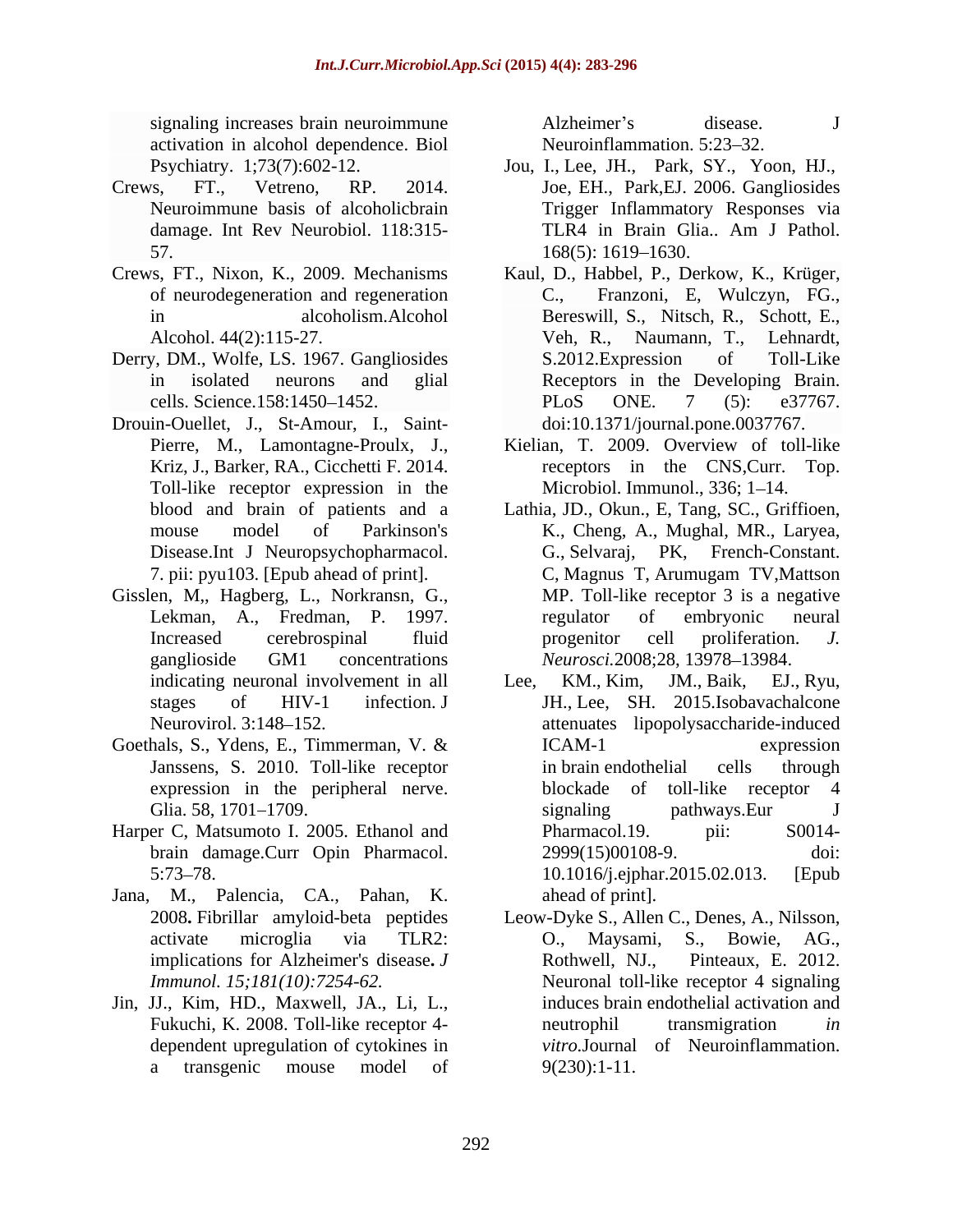signaling increases brain neuroimmune  $\qquad \qquad$  Alzheimer's disease. J activation in alcohol dependence. Biol

- Crews, FT., Vetreno, RP. 2014. Joe, EH., Park,EJ. 2006. Gangliosides 57. 168(5): 1619–1630.
- of neurodegeneration and regeneration
- Derry, DM., Wolfe, LS. 1967. Gangliosides S.2012. Expression of Toll-Like
- Drouin-Ouellet, J., St-Amour, I., Saint-<br>doi:10.1371/journal.pone.0037767. Toll-like receptor expression in the
- Gisslen, M,, Hagberg, L., Norkransn, G., indicating neuronal involvement in all Lee, KM., Kim,
- Goethals, S., Ydens, E., Timmerman, V. & ICAM-1 expression
- Harper C, Matsumoto I. 2005. Ethanol and Pharmacol.19. pii: S0014-
- Jana, M., Palencia, CA., Pahan, K. 2008**.** Fibrillar amyloid-beta peptides implications for Alzheimer's disease. *J* Rothwell, NJ.,
- Jin, JJ., Kim, HD., Maxwell, JA., Li, L.,

Alzheimer's disease. J Neuroinflammation. 5:23–32.

- Psychiatry. 1;73(7):602-12. Jou, I., Lee, JH., Park, SY., Yoon, HJ., Neuroimmune basis of alcoholicbrain Trigger Inflammatory Responses via damage. Int Rev Neurobiol. 118:315-<br>
TLR4 in Brain Glia.. Am J Pathol. TLR4 in Brain Glia.. Am J Pathol. 168(5): 1619 1630.
- Crews, FT., Nixon, K., 2009. Mechanisms Kaul, D., Habbel, P., Derkow, K., Krüger, in alcoholism.Alcohol Bereswill, S., Nitsch, R., Schott, E., Alcohol. 44(2):115-27. Veh, R., Naumann, T., Lehnardt, in isolated neurons and glial Receptors in the Developing Brain. cells. Science.158:1450–1452. PLoS ONE. 7 (5): e37767. Franzoni, E, Wulczyn, FG., Veh, R., Naumann, T., Lehnardt, S.2012.Expression of Toll-Like PLoS ONE. 7 (5): e37767.<br>doi:10.1371/journal.pone.0037767.
	- Pierre, M., Lamontagne-Proulx, J., Kriz, J., Barker, RA., Cicchetti F. 2014. Kielian, T. 2009. Overview of toll-like receptors in the CNS,Curr. Top. Microbiol. Immunol., 336; 1-14.
	- blood and brain of patients and a Lathia, JD., Okun., E, Tang, SC., Griffioen, mouse model of Parkinson's K., Cheng, A., Mughal, MR., Laryea, Disease.Int J Neuropsychopharmacol. G., Selvaraj, PK, French-Constant. 7. pii: pyu103. [Epub ahead of print]. Lekman, A., Fredman, P. 1997. regulator of embryonic neural Increased cerebrospinal fluid progenitor cell proliferation. J. ganglioside GM1 concentrations *Neurosci*.2008;28, 13978–13984. C, Magnus T, Arumugam TV,Mattson MP. Toll-like receptor 3 is a negative regulator of embryonic neural progenitor cell proliferation. *J.*
	- stages of HIV-1 infection. J JH., Lee, SH. 2015.Isobavachalcone Neurovirol. 3:148 152. attenuates lipopolysaccharide-induced Janssens, S. 2010. Toll-like receptor expression in the peripheral nerve. blockade of toll-like receptor 4 Glia. 58, 1701 1709. brain damage.Curr Opin Pharmacol. 2999(15)00108-9. doi: 5:73 78. 10.1016/j.ejphar.2015.02.013. [Epub JM., Baik, EJ., Ryu, ICAM-1 expression in brain endothelial cells through blockade of toll-like receptor 4 signaling pathways.Eur J Pharmacol.19. pii: S0014-2999(15)00108-9. ahead of print].
	- activate microglia via TLR2: *Immunol. 15;181(10):7254-62.* Neuronal toll-like receptor 4 signaling Fukuchi, K. 2008. Toll-like receptor 4- heutrophil transmigration *in* dependent upregulation of cytokines in *vitro.*Journal of Neuroinflammation. a transgenic mouse model of 9(230):1-11. Leow-Dyke S., Allen C., Denes, A., Nilsson, O., Maysami, S., Bowie, AG., Pinteaux, E. 2012. induces brain endothelial activation and neutrophil transmigration *in*  9(230):1-11.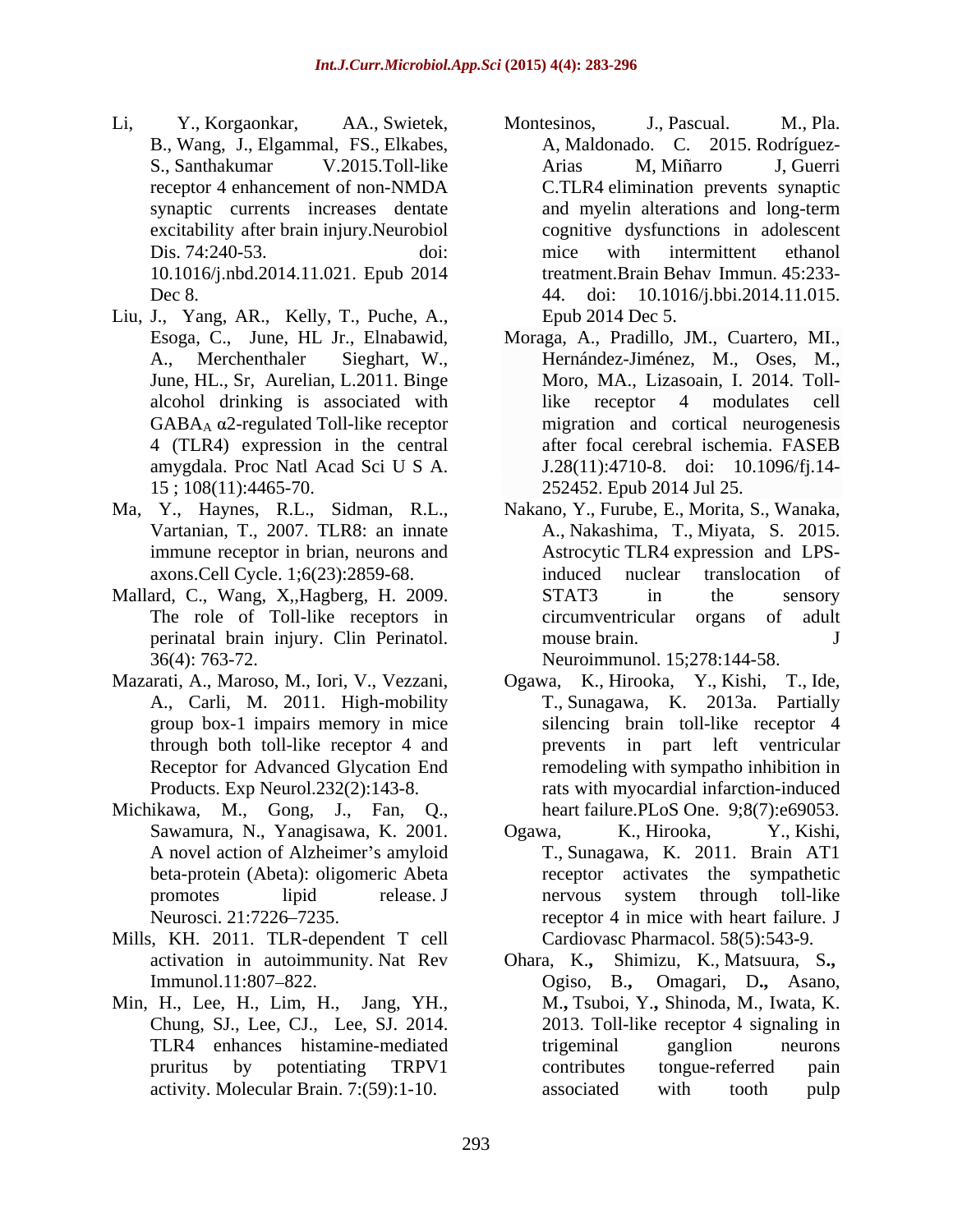- 10.1016/j.nbd.2014.11.021. Epub 2014
- Liu, J., Yang, AR., Kelly, T., Puche, A.,
- Ma, Y., Haynes, R.L., Sidman, R.L.,
- Mallard, C., Wang, X,,Hagberg, H. 2009. 36(4): 763-72. Neuroimmunol. 15;278:144-58.
- 
- Michikawa, M., Gong, J., Fan, Q., A novel action of Alzheimer's amyloid beta-protein (Abeta): oligomeric Abeta
- Mills, KH. 2011. TLR-dependent T cell
- Min, H., Lee, H., Lim, H., Jang, YH.,
- Li, Y., Korgaonkar, AA., Swietek, B., Wang, J., Elgammal, FS., Elkabes, A, Maldonado. C. 2015. Rodríguez- S., Santhakumar V.2015.Toll-like Arias M, Miñarro J, Guerri receptor 4 enhancement of non-NMDA C.TLR4 elimination prevents synaptic synaptic currents increases dentate and myelin alterations and long-term excitability after brain injury.Neurobiol cognitive dysfunctions in adolescent Dis. 74:240-53. doi: http://with.intermittent ethanol Dec 8. 2014. doi: 10.1016/j.bbi.2014.11.015. Montesinos, J., Pascual. M., Pla. Arias M, Miñarro J, Guerri mice with intermittent ethanol treatment.Brain Behav Immun. 45:233- Epub 2014 Dec 5.
	- Esoga, C., June, HL Jr., Elnabawid, A., Merchenthaler Sieghart, W., Hernández-Jiménez, M., Oses, M., June, HL., Sr. Aurelian, L.2011. Binge Moro, MA., Lizasoain, I. 2014. Tollalcohol drinking is associated with  $GABA_A \alpha$ 2-regulated Toll-like receptor migration and cortical neurogenesis 4 (TLR4) expression in the central after focal cerebral ischemia. FASEB amygdala. Proc Natl Acad Sci U S A. J.28(11):4710-8. doi: 10.1096/fj.14- 15 ; 108(11):4465-70. 252452. Epub 2014 Jul 25. Moraga, A., Pradillo, JM., Cuartero, MI., Hernández-Jiménez, M., Oses, M., Moro, MA., Lizasoain, I. 2014. Tolllike receptor 4 modulates cell
	- Vartanian, T., 2007. TLR8: an innate A., Nakashima, T., Miyata, S. 2015. immune receptor in brian, neurons and Astrocytic TLR4 expression and LPSaxons.Cell Cycle. 1;6(23):2859-68. The role of Toll-like receptors in circumventricular organs of adult perinatal brain injury. Clin Perinatol. Nakano, Y., Furube, E., Morita, S., Wanaka, induced nuclear translocation of STAT3 in the sensory mouse brain. J
- Mazarati, A., Maroso, M., Iori, V., Vezzani, Ogawa, K., Hirooka, Y., Kishi, T., Ide, A., Carli, M. 2011. High-mobility T., Sunagawa, K. 2013a. Partially group box-1 impairs memory in mice silencing brain toll-like receptor 4 through both toll-like receptor 4 and prevents in part left ventricular Receptor for Advanced Glycation End remodeling with sympatho inhibition in Products. Exp Neurol.232(2):143-8. rats with myocardial infarction-induced heart failure.PLoS One. 9;8(7):e69053.
	- Sawamura, N., Yanagisawa, K. 2001. Ogawa, K., Hirooka, Y., Kishi, promotes lipid release. J nervous system through toll-like Neurosci. 21:7226–7235. The receptor 4 in mice with heart failure. J Ogawa, K., Hirooka, Y., Kishi, T., Sunagawa, K. 2011. Brain AT1 receptor activates the sympathetic nervous system through toll-like Cardiovasc Pharmacol. 58(5):543-9.
	- activation in autoimmunity. Nat Rev Ohara, K.**,** Shimizu, K., Matsuura, S**.,** Immunol.11:807 822. Ogiso, B.**,** Omagari, D**.,** Asano, Chung, SJ., Lee, CJ., Lee, SJ. 2014. 2013. Toll-like receptor 4 signaling in TLR4 enhances histamine-mediated pruritus by potentiating TRPV1 activity. Molecular Brain. 7:(59):1-10. M.**,** Tsuboi, Y.**,** Shinoda, M., Iwata, K. trigeminal ganglion neurons contributes tongue-referred pain associated with tooth pulp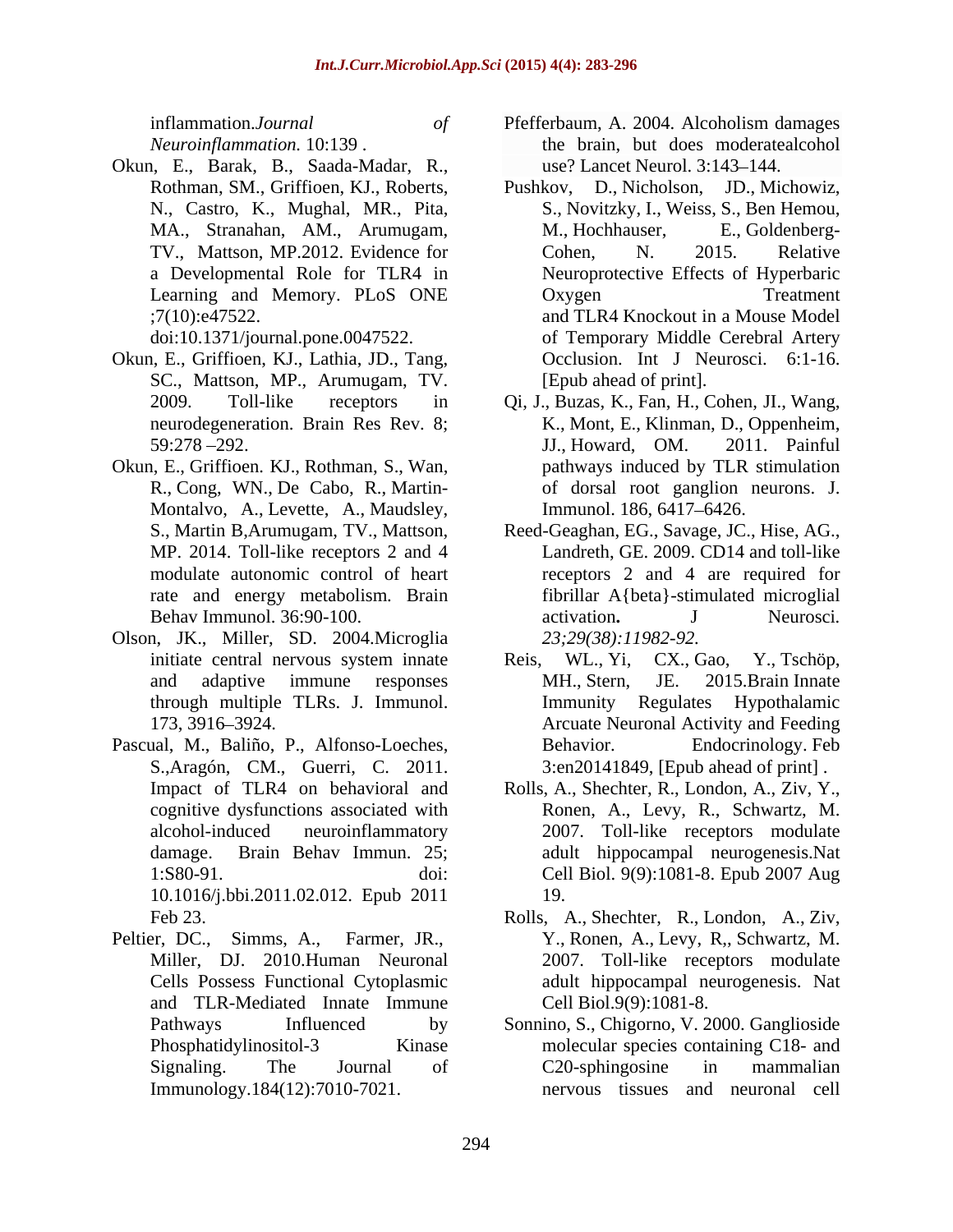- Okun, E., Griffioen, KJ., Lathia, JD., Tang, SC., Mattson, MP., Arumugam, TV.
- Okun, E., Griffioen. KJ., Rothman, S., Wan, Montalvo, A., Levette, A., Maudsley, Immunol. 186, 6417–6426.
- Olson, JK., Miller, SD. 2004.Microglia
- Pascual, M., Baliño, P., Alfonso-Loeches, S.,Aragón, CM., Guerri, C. 2011. 10.1016/j.bbi.2011.02.012. Epub 2011
- Peltier, DC., Simms, A., Farmer, JR., Y., Ronen, A., Levy, R., Schwartz, M.<br>Miller, DJ. 2010.Human Neuronal 2007. Toll-like receptors modulate and TLR-Mediated Innate Immune
- inflammation.*Journal of Neuroinflammation.* 10:139 . Okun, E., Barak, B., Saada-Madar, R., Pfefferbaum, A. 2004. Alcoholism damages the brain, but does moderatealcohol use? Lancet Neurol. 3:143–144.
	- Rothman, SM., Griffioen, KJ., Roberts, Pushkov, D., Nicholson, JD., Michowiz, N., Castro, K., Mughal, MR., Pita, S., Novitzky, I., Weiss, S., Ben Hemou, MA., Stranahan, AM., Arumugam, TV., Mattson, MP.2012. Evidence for Cohen, N. 2015. Relative a Developmental Role for TLR4 in Neuroprotective Effects of Hyperbaric Learning and Memory. PLoS ONE Oxygen Treatment ;7(10):e47522. and TLR4 Knockout in a Mouse Model doi:10.1371/journal.pone.0047522. of Temporary Middle Cerebral Artery M., Hochhauser, E., Goldenberg- Cohen, N. 2015. Relative Oxygen Treatment Occlusion. Int J Neurosci. 6:1-16. [Epub ahead of print].
	- 2009. Toll-like receptors in Qi, J., Buzas, K., Fan, H., Cohen, JI., Wang, neurodegeneration. Brain Res Rev. 8; K., Mont, E., Klinman, D., Oppenheim, 59:278 292. JJ., Howard, OM. 2011. Painful R., Cong, WN., De Cabo, R., Martin- of dorsal root ganglion neurons. J. pathways induced by TLR stimulation Immunol. 186, 6417–6426.
	- S., Martin B,Arumugam, TV., Mattson, Reed-Geaghan, EG., Savage, JC., Hise, AG., MP. 2014. Toll-like receptors 2 and 4 Landreth, GE. 2009. CD14 and toll-like modulate autonomic control of heart receptors 2 and 4 are required for rate and energy metabolism. Brain fibrillar A{beta}-stimulated microglial Behav Immunol. 36:90-100. **activation** activation. J Neurosci. activation**.** J Neurosci*. 23;29(38):11982-92.*
	- initiate central nervous system innate Reis, WL., Yi, CX., Gao, Y., Tschöp, and adaptive immune responses MH., Stern, JE. 2015. Brain Innate through multiple TLRs. J. Immunol. 173, 3916 3924. Arcuate Neuronal Activity and Feeding Reis, WL., Yi, CX., Gao, Y., Tschöp, MH., Stern, JE. 2015.Brain Innate Immunity Regulates Hypothalamic Endocrinology. Feb 3:en20141849, [Epub ahead of print] .
	- Impact of TLR4 on behavioral and Rolls, A., Shechter, R., London, A., Ziv, Y., cognitive dysfunctions associated with Ronen, A., Levy, R., Schwartz, M. alcohol-induced neuroinflammatory 2007. Toll-like receptors modulate damage. Brain Behav Immun. 25; adult hippocampal neurogenesis.Nat 1:S80-91. doi: Cell Biol. 9(9):1081-8. Epub 2007 Aug Rolls, A., Shechter, R., London, A., Ziv, Y.,<br>Ronen, A., Levy, R., Schwartz, M.<br>2007. Toll-like receptors modulate 19.
	- Feb 23. Rolls, A., Shechter, R., London, A., Ziv, Cells Possess Functional Cytoplasmic adult hippocampal neurogenesis. Nat Y., Ronen, A., Levy, R,, Schwartz, M. 2007. Toll-like receptors modulate Cell Biol.9(9):1081-8.
	- Pathways Influenced by Sonnino, S., Chigorno, V. 2000. Ganglioside Phosphatidylinositol-3 Kinase molecular species containing C18- and Signaling. The Journal of C20-sphingosine in mammalian Immunology.184(12):7010-7021. nervous tissues and neuronal cellC20-sphingosine in mammalian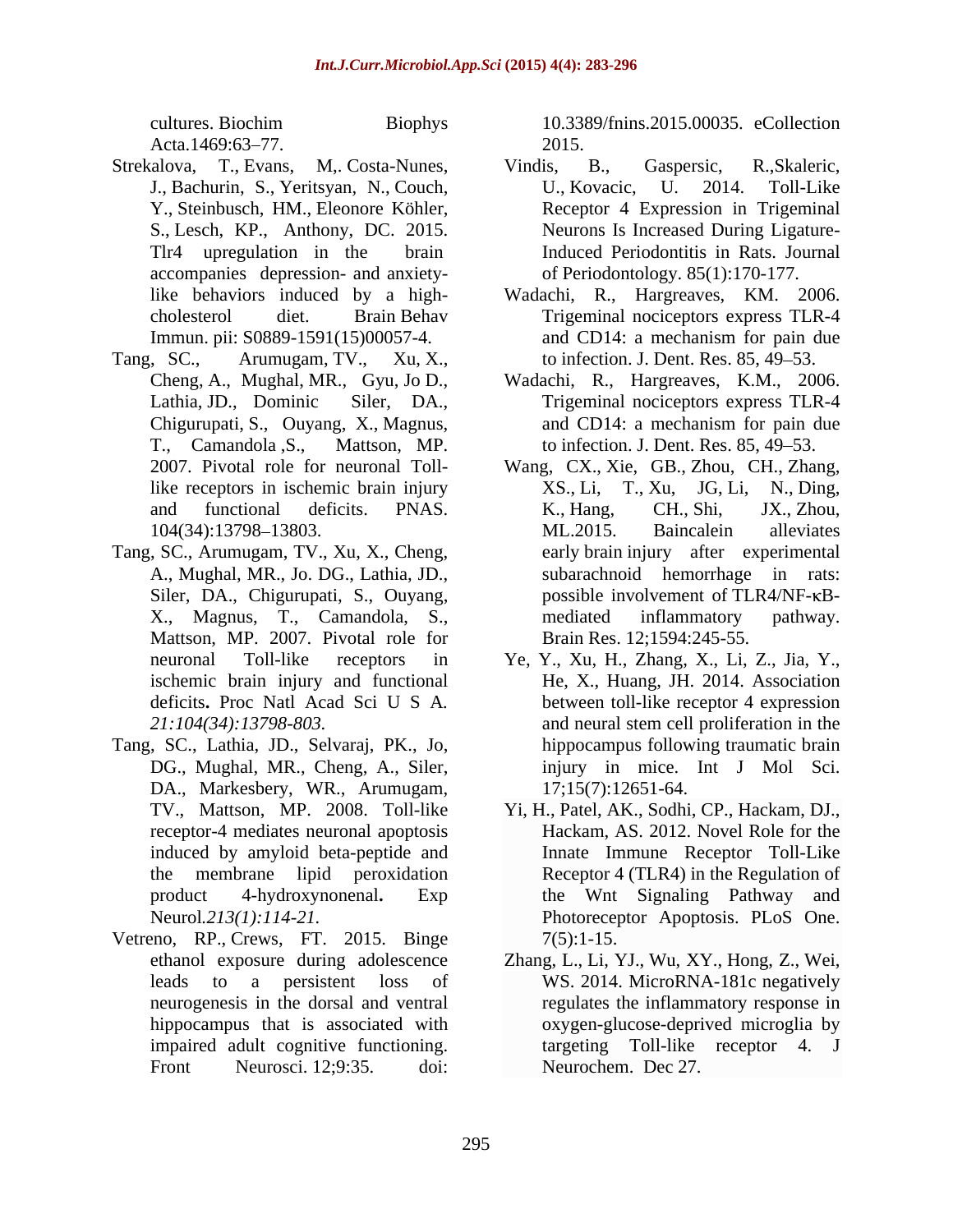- accompanies depression- and anxiety-
- Tang, SC., Arumugam, TV., Xu, X., to infection. J. Dent. Res. 85, 49–53.<br>Cheng, A., Mughal, MR., Gyu, Jo D., Wadachi, R., Hargreaves, K.M., 2006.
- Tang, SC., Arumugam, TV., Xu, X., Cheng, Siler, DA., Chigurupati, S., Ouyang, Mattson, MP. 2007. Pivotal role for
- Tang, SC., Lathia, JD., Selvaraj, PK., Jo, DG., Mughal, MR., Cheng, A., Siler, DA., Markesbery, WR., Arumugam, receptor-4 mediates neuronal apoptosis
- Vetreno, RP., Crews, FT. 2015. Binge 7(5):1-15.<br>ethanol exposure during adolescence Zhang, L., Li, Y neurogenesis in the dorsal and ventral

cultures. Biochim Biophys 10.3389/fnins.2015.00035. eCollection Acta.1469:63–77.  $2015.$ 10.3389/fnins.2015.00035. eCollection 2015.

- Strekalova, T., Evans, M,. Costa-Nunes, J., Bachurin, S., Yeritsyan, N., Couch, Y., Steinbusch, HM., Eleonore Köhler, Receptor 4 Expression in Trigeminal S., Lesch, KP., Anthony, DC. 2015. Neurons Is Increased During Ligature-Tlr4 upregulation in the brain Induced Periodontitis in Rats. Journal Vindis, B., Gaspersic, R.,Skaleric, U., Kovacic, U. 2014. Toll-Like of Periodontology. 85(1):170-177.
	- like behaviors induced by a high- Wadachi, R., Hargreaves, KM. 2006. cholesterol diet. Brain Behav Trigeminal nociceptors express TLR-4 Immun. pii: S0889-1591(15)00057-4. and CD14: a mechanism for pain due and CD14: a mechanism for pain due to infection. J. Dent. Res. 85, 49–53.
	- Lathia, JD., Dominic Siler, DA., Trigeminal nociceptors express TLR-4 Chigurupati, S., Ouyang, X., Magnus, and CD14: a mechanism for pain due T., Camandola ,S., Mattson, MP. to infection. J. Dent. Res. 85, 49 53. Wadachi, R., Hargreaves, K.M., 2006. and CD14: a mechanism for pain due
	- 2007. Pivotal role for neuronal Toll-Wang, CX., Xie, GB., Zhou, CH., Zhang, like receptors in ischemic brain injury XS., Li, T., Xu, JG, Li, N., Ding, and functional deficits. PNAS. K., Hang, CH., Shi, JX., Zhou, 104(34):13798–13803. ML.2015. Baincalein alleviates A., Mughal, MR., Jo. DG., Lathia, JD., subarachnoid hemorrhage in rats: X., Magnus, T., Camandola, S.,  $XS, Li, T, Xu,$ K., Hang, CH., Shi, JX., Zhou, ML.2015. Baincalein alleviates early brain injury after experimental possible involvement of  $TLR4/NF$ - $\kappa B$ mediated inflammatory pathway. Brain Res. 12;1594:245-55.
	- neuronal Toll-like receptors in Ye, Y., Xu, H., Zhang, X., Li, Z., Jia, Y., ischemic brain injury and functional He, X., Huang, JH. 2014. Association deficits**.** Proc Natl Acad Sci U S A*. 21:104(34):13798-803.* and neural stem cell proliferation in the Ye, Y., Xu, H., Zhang, X., Li, Z., Jia, Y., He, X., Huang, JH. 2014. Association between toll-like receptor 4 expression hippocampus following traumatic brain injury in mice. Int J Mol Sci. 17;15(7):12651-64.
	- TV., Mattson, MP. 2008. Toll-like Yi, H., Patel, AK., Sodhi, CP., Hackam, DJ., induced by amyloid beta-peptide and Innate Immune Receptor Toll-Like the membrane lipid peroxidation Receptor 4 (TLR4) in the Regulation of product 4-hydroxynonenal**.** Exp the Wnt Signaling Pathway and Neurol*.213(1):114-21.* Photoreceptor Apoptosis. PLoS One. Hackam, AS. 2012. Novel Role for the  $7(5):1-15.$
	- ethanol exposure during adolescence Zhang, L., Li, YJ., Wu, XY., Hong, Z., Wei, leads to a persistent loss of WS. 2014. MicroRNA-181c negatively hippocampus that is associated with oxygen-glucose-deprived microglia by impaired adult cognitive functioning. targeting Toll-like receptor 4. J Front Neurosci. 12;9:35. doi: Neurochem. Dec 27. regulates the inflammatory response in